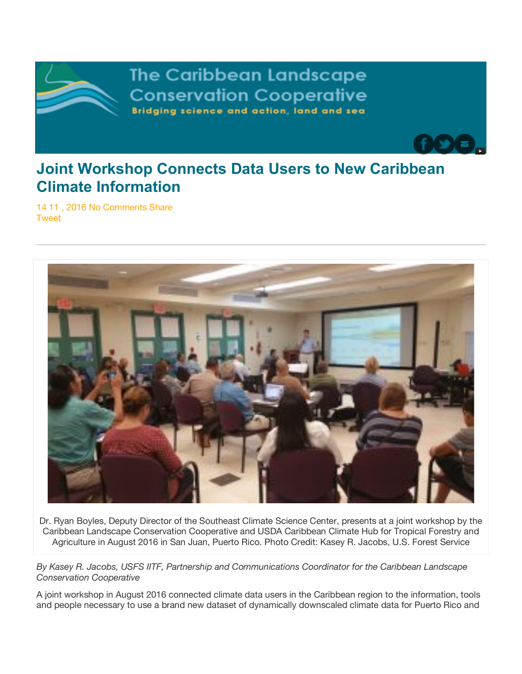

**The Caribbean Landscape Conservation Cooperative** Bridging science and action, land and sea

## **Joint Workshop Connects Data Users to New Caribbean Climate Information**

14 11 , 2016 No Comments Share **Tweet** 



Dr. Ryan Boyles, Deputy Director of the Southeast Climate Science Center, presents at a joint workshop by the Caribbean Landscape Conservation Cooperative and USDA Caribbean Climate Hub for Tropical Forestry and Agriculture in August 2016 in San Juan, Puerto Rico. Photo Credit: Kasey R. Jacobs, U.S. Forest Service

*By Kasey R. Jacobs, USFS IITF, Partnership and Communications Coordinator for the Caribbean Landscape Conservation Cooperative*

A joint workshop in August 2016 connected climate data users in the Caribbean region to the information, tools and people necessary to use a brand new dataset of dynamically downscaled climate data for Puerto Rico and